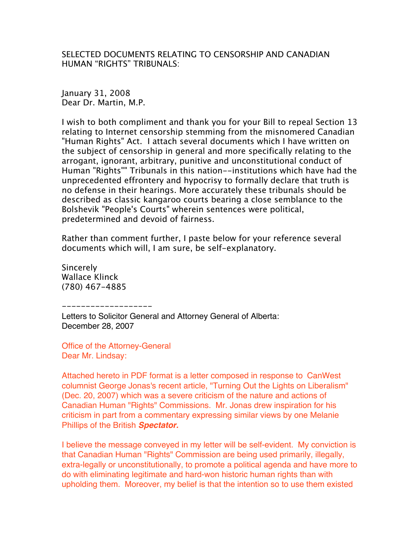SELECTED DOCUMENTS RELATING TO CENSORSHIP AND CANADIAN HUMAN "RIGHTS" TRIBUNALS:

January 31, 2008 Dear Dr. Martin, M.P.

I wish to both compliment and thank you for your Bill to repeal Section 13 relating to Internet censorship stemming from the misnomered Canadian "Human Rights" Act. I attach several documents which I have written on the subject of censorship in general and more specifically relating to the arrogant, ignorant, arbitrary, punitive and unconstitutional conduct of Human "Rights"" Tribunals in this nation--institutions which have had the unprecedented effrontery and hypocrisy to formally declare that truth is no defense in their hearings. More accurately these tribunals should be described as classic kangaroo courts bearing a close semblance to the Bolshevik "People's Courts" wherein sentences were political, predetermined and devoid of fairness.

Rather than comment further, I paste below for your reference several documents which will, I am sure, be self-explanatory.

**Sincerely** Wallace Klinck (780) 467-4885

-------------------

Letters to Solicitor General and Attorney General of Alberta: December 28, 2007

Office of the Attorney-General Dear Mr. Lindsay:

Attached hereto in PDF format is a letter composed in response to CanWest columnist George Jonas's recent article, "Turning Out the Lights on Liberalism" (Dec. 20, 2007) which was a severe criticism of the nature and actions of Canadian Human "Rights" Commissions. Mr. Jonas drew inspiration for his criticism in part from a commentary expressing similar views by one Melanie Phillips of the British *Spectator.*

I believe the message conveyed in my letter will be self-evident. My conviction is that Canadian Human "Rights" Commission are being used primarily, illegally, extra-legally or unconstitutionally, to promote a political agenda and have more to do with eliminating legitimate and hard-won historic human rights than with upholding them. Moreover, my belief is that the intention so to use them existed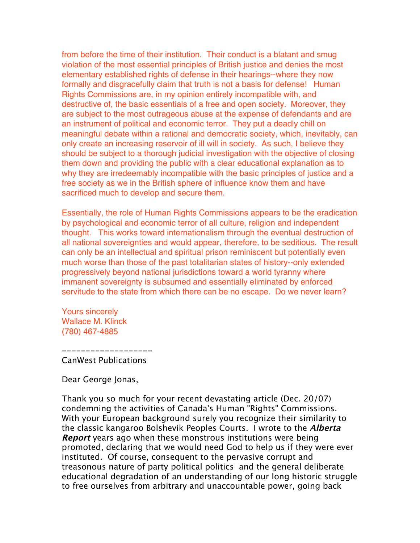from before the time of their institution. Their conduct is a blatant and smug violation of the most essential principles of British justice and denies the most elementary established rights of defense in their hearings--where they now formally and disgracefully claim that truth is not a basis for defense! Human Rights Commissions are, in my opinion entirely incompatible with, and destructive of, the basic essentials of a free and open society. Moreover, they are subject to the most outrageous abuse at the expense of defendants and are an instrument of political and economic terror. They put a deadly chill on meaningful debate within a rational and democratic society, which, inevitably, can only create an increasing reservoir of ill will in society. As such, I believe they should be subject to a thorough judicial investigation with the objective of closing them down and providing the public with a clear educational explanation as to why they are irredeemably incompatible with the basic principles of justice and a free society as we in the British sphere of influence know them and have sacrificed much to develop and secure them.

Essentially, the role of Human Rights Commissions appears to be the eradication by psychological and economic terror of all culture, religion and independent thought. This works toward internationalism through the eventual destruction of all national sovereignties and would appear, therefore, to be seditious. The result can only be an intellectual and spiritual prison reminiscent but potentially even much worse than those of the past totalitarian states of history--only extended progressively beyond national jurisdictions toward a world tyranny where immanent sovereignty is subsumed and essentially eliminated by enforced servitude to the state from which there can be no escape. Do we never learn?

Yours sincerely Wallace M. Klinck (780) 467-4885

## CanWest Publications

-------------------

## Dear George Jonas,

Thank you so much for your recent devastating article (Dec. 20/07) condemning the activities of Canada's Human "Rights" Commissions. With your European background surely you recognize their similarity to the classic kangaroo Bolshevik Peoples Courts. I wrote to the **Alberta Report** years ago when these monstrous institutions were being promoted, declaring that we would need God to help us if they were ever instituted. Of course, consequent to the pervasive corrupt and treasonous nature of party political politics and the general deliberate educational degradation of an understanding of our long historic struggle to free ourselves from arbitrary and unaccountable power, going back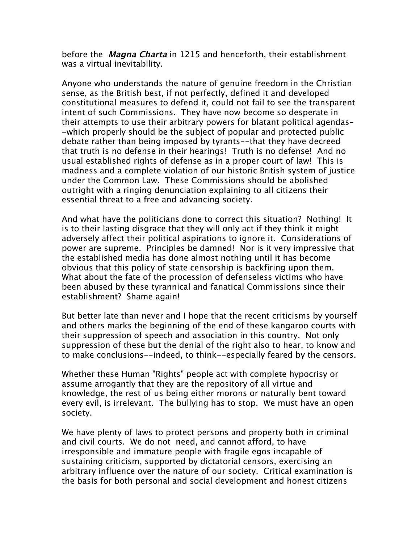before the **Magna Charta** in 1215 and henceforth, their establishment was a virtual inevitability.

Anyone who understands the nature of genuine freedom in the Christian sense, as the British best, if not perfectly, defined it and developed constitutional measures to defend it, could not fail to see the transparent intent of such Commissions. They have now become so desperate in their attempts to use their arbitrary powers for blatant political agendas- -which properly should be the subject of popular and protected public debate rather than being imposed by tyrants--that they have decreed that truth is no defense in their hearings! Truth is no defense! And no usual established rights of defense as in a proper court of law! This is madness and a complete violation of our historic British system of justice under the Common Law. These Commissions should be abolished outright with a ringing denunciation explaining to all citizens their essential threat to a free and advancing society.

And what have the politicians done to correct this situation? Nothing! It is to their lasting disgrace that they will only act if they think it might adversely affect their political aspirations to ignore it. Considerations of power are supreme. Principles be damned! Nor is it very impressive that the established media has done almost nothing until it has become obvious that this policy of state censorship is backfiring upon them. What about the fate of the procession of defenseless victims who have been abused by these tyrannical and fanatical Commissions since their establishment? Shame again!

But better late than never and I hope that the recent criticisms by yourself and others marks the beginning of the end of these kangaroo courts with their suppression of speech and association in this country. Not only suppression of these but the denial of the right also to hear, to know and to make conclusions--indeed, to think--especially feared by the censors.

Whether these Human "Rights" people act with complete hypocrisy or assume arrogantly that they are the repository of all virtue and knowledge, the rest of us being either morons or naturally bent toward every evil, is irrelevant. The bullying has to stop. We must have an open society.

We have plenty of laws to protect persons and property both in criminal and civil courts. We do not need, and cannot afford, to have irresponsible and immature people with fragile egos incapable of sustaining criticism, supported by dictatorial censors, exercising an arbitrary influence over the nature of our society. Critical examination is the basis for both personal and social development and honest citizens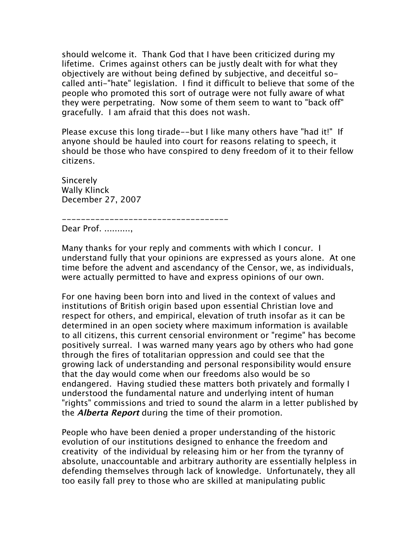should welcome it. Thank God that I have been criticized during my lifetime. Crimes against others can be justly dealt with for what they objectively are without being defined by subjective, and deceitful socalled anti-"hate" legislation. I find it difficult to believe that some of the people who promoted this sort of outrage were not fully aware of what they were perpetrating. Now some of them seem to want to "back off" gracefully. I am afraid that this does not wash.

Please excuse this long tirade--but I like many others have "had it!" If anyone should be hauled into court for reasons relating to speech, it should be those who have conspired to deny freedom of it to their fellow citizens.

**Sincerely** Wally Klinck December 27, 2007

----------------------------------- Dear Prof. ..........,

Many thanks for your reply and comments with which I concur. I understand fully that your opinions are expressed as yours alone. At one time before the advent and ascendancy of the Censor, we, as individuals, were actually permitted to have and express opinions of our own.

For one having been born into and lived in the context of values and institutions of British origin based upon essential Christian love and respect for others, and empirical, elevation of truth insofar as it can be determined in an open society where maximum information is available to all citizens, this current censorial environment or "regime" has become positively surreal. I was warned many years ago by others who had gone through the fires of totalitarian oppression and could see that the growing lack of understanding and personal responsibility would ensure that the day would come when our freedoms also would be so endangered. Having studied these matters both privately and formally I understood the fundamental nature and underlying intent of human "rights" commissions and tried to sound the alarm in a letter published by the **Alberta Report** during the time of their promotion.

People who have been denied a proper understanding of the historic evolution of our institutions designed to enhance the freedom and creativity of the individual by releasing him or her from the tyranny of absolute, unaccountable and arbitrary authority are essentially helpless in defending themselves through lack of knowledge. Unfortunately, they all too easily fall prey to those who are skilled at manipulating public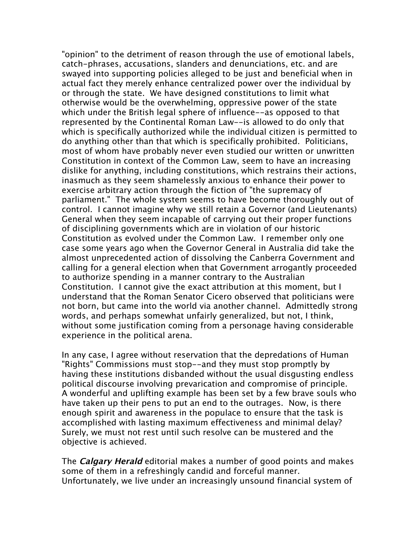"opinion" to the detriment of reason through the use of emotional labels, catch-phrases, accusations, slanders and denunciations, etc. and are swayed into supporting policies alleged to be just and beneficial when in actual fact they merely enhance centralized power over the individual by or through the state. We have designed constitutions to limit what otherwise would be the overwhelming, oppressive power of the state which under the British legal sphere of influence--as opposed to that represented by the Continental Roman Law--is allowed to do only that which is specifically authorized while the individual citizen is permitted to do anything other than that which is specifically prohibited. Politicians, most of whom have probably never even studied our written or unwritten Constitution in context of the Common Law, seem to have an increasing dislike for anything, including constitutions, which restrains their actions, inasmuch as they seem shamelessly anxious to enhance their power to exercise arbitrary action through the fiction of "the supremacy of parliament." The whole system seems to have become thoroughly out of control. I cannot imagine why we still retain a Governor (and Lieutenants) General when they seem incapable of carrying out their proper functions of disciplining governments which are in violation of our historic Constitution as evolved under the Common Law. I remember only one case some years ago when the Governor General in Australia did take the almost unprecedented action of dissolving the Canberra Government and calling for a general election when that Government arrogantly proceeded to authorize spending in a manner contrary to the Australian Constitution. I cannot give the exact attribution at this moment, but I understand that the Roman Senator Cicero observed that politicians were not born, but came into the world via another channel. Admittedly strong words, and perhaps somewhat unfairly generalized, but not, I think, without some justification coming from a personage having considerable experience in the political arena.

In any case, I agree without reservation that the depredations of Human "Rights" Commissions must stop--and they must stop promptly by having these institutions disbanded without the usual disgusting endless political discourse involving prevarication and compromise of principle. A wonderful and uplifting example has been set by a few brave souls who have taken up their pens to put an end to the outrages. Now, is there enough spirit and awareness in the populace to ensure that the task is accomplished with lasting maximum effectiveness and minimal delay? Surely, we must not rest until such resolve can be mustered and the objective is achieved.

The **Calgary Herald** editorial makes a number of good points and makes some of them in a refreshingly candid and forceful manner. Unfortunately, we live under an increasingly unsound financial system of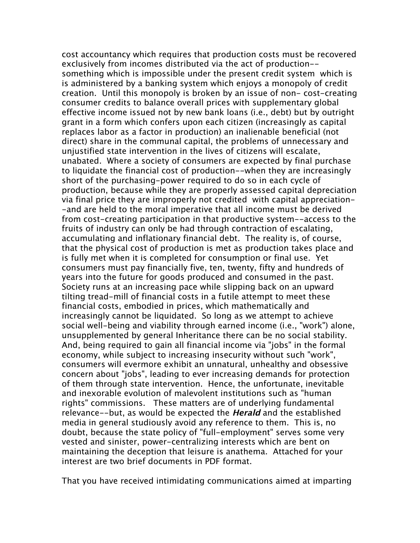cost accountancy which requires that production costs must be recovered exclusively from incomes distributed via the act of production- something which is impossible under the present credit system which is is administered by a banking system which enjoys a monopoly of credit creation. Until this monopoly is broken by an issue of non- cost-creating consumer credits to balance overall prices with supplementary global effective income issued not by new bank loans (i.e., debt) but by outright grant in a form which confers upon each citizen (increasingly as capital replaces labor as a factor in production) an inalienable beneficial (not direct) share in the communal capital, the problems of unnecessary and unjustified state intervention in the lives of citizens will escalate, unabated. Where a society of consumers are expected by final purchase to liquidate the financial cost of production--when they are increasingly short of the purchasing-power required to do so in each cycle of production, because while they are properly assessed capital depreciation via final price they are improperly not credited with capital appreciation- -and are held to the moral imperative that all income must be derived from cost-creating participation in that productive system--access to the fruits of industry can only be had through contraction of escalating, accumulating and inflationary financial debt. The reality is, of course, that the physical cost of production is met as production takes place and is fully met when it is completed for consumption or final use. Yet consumers must pay financially five, ten, twenty, fifty and hundreds of years into the future for goods produced and consumed in the past. Society runs at an increasing pace while slipping back on an upward tilting tread-mill of financial costs in a futile attempt to meet these financial costs, embodied in prices, which mathematically and increasingly cannot be liquidated. So long as we attempt to achieve social well-being and viability through earned income (i.e., "work") alone, unsupplemented by general Inheritance there can be no social stability. And, being required to gain all financial income via "jobs" in the formal economy, while subject to increasing insecurity without such "work", consumers will evermore exhibit an unnatural, unhealthy and obsessive concern about "jobs", leading to ever increasing demands for protection of them through state intervention. Hence, the unfortunate, inevitable and inexorable evolution of malevolent institutions such as "human rights" commissions. These matters are of underlying fundamental relevance--but, as would be expected the **Herald** and the established media in general studiously avoid any reference to them. This is, no doubt, because the state policy of "full-employment" serves some very vested and sinister, power-centralizing interests which are bent on maintaining the deception that leisure is anathema. Attached for your interest are two brief documents in PDF format.

That you have received intimidating communications aimed at imparting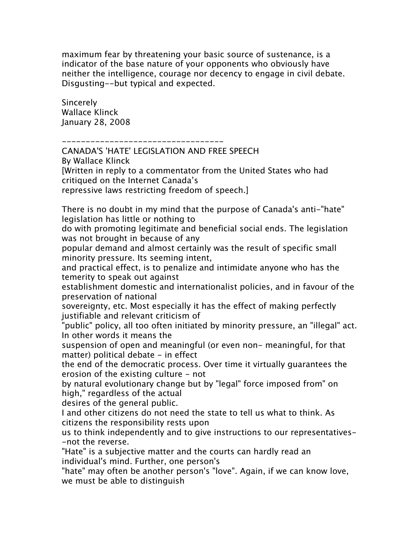maximum fear by threatening your basic source of sustenance, is a indicator of the base nature of your opponents who obviously have neither the intelligence, courage nor decency to engage in civil debate. Disgusting--but typical and expected.

**Sincerely** Wallace Klinck January 28, 2008

----------------------------------

CANADA'S 'HATE' LEGISLATION AND FREE SPEECH By Wallace Klinck [Written in reply to a commentator from the United States who had critiqued on the Internet Canada's repressive laws restricting freedom of speech.] There is no doubt in my mind that the purpose of Canada's anti-"hate" legislation has little or nothing to do with promoting legitimate and beneficial social ends. The legislation was not brought in because of any popular demand and almost certainly was the result of specific small minority pressure. Its seeming intent, and practical effect, is to penalize and intimidate anyone who has the temerity to speak out against establishment domestic and internationalist policies, and in favour of the preservation of national sovereignty, etc. Most especially it has the effect of making perfectly justifiable and relevant criticism of "public" policy, all too often initiated by minority pressure, an "illegal" act. In other words it means the suspension of open and meaningful (or even non- meaningful, for that matter) political debate - in effect the end of the democratic process. Over time it virtually guarantees the erosion of the existing culture - not by natural evolutionary change but by "legal" force imposed from" on high," regardless of the actual desires of the general public. I and other citizens do not need the state to tell us what to think. As citizens the responsibility rests upon us to think independently and to give instructions to our representatives- -not the reverse. "Hate" is a subjective matter and the courts can hardly read an individual's mind. Further, one person's

"hate" may often be another person's "love". Again, if we can know love, we must be able to distinguish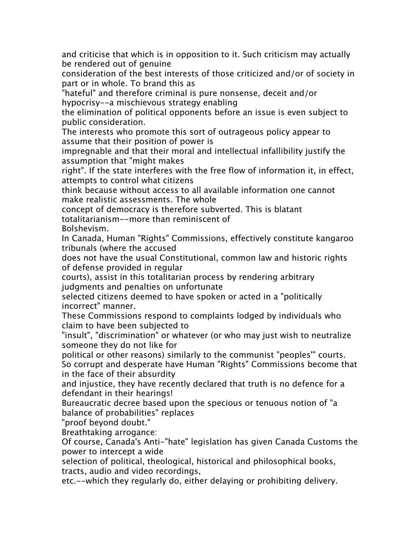and criticise that which is in opposition to it. Such criticism may actually be rendered out of genuine

consideration of the best interests of those criticized and/or of society in part or in whole. To brand this as

"hateful" and therefore criminal is pure nonsense, deceit and/or hypocrisy--a mischievous strategy enabling

the elimination of political opponents before an issue is even subject to public consideration.

The interests who promote this sort of outrageous policy appear to assume that their position of power is

impregnable and that their moral and intellectual infallibility justify the assumption that "might makes

right". If the state interferes with the free flow of information it, in effect, attempts to control what citizens

think because without access to all available information one cannot make realistic assessments. The whole

concept of democracy is therefore subverted. This is blatant totalitarianism--more than reminiscent of

Bolshevism.

In Canada, Human "Rights" Commissions, effectively constitute kangaroo tribunals (where the accused

does not have the usual Constitutional, common law and historic rights of defense provided in regular

courts), assist in this totalitarian process by rendering arbitrary judgments and penalties on unfortunate

selected citizens deemed to have spoken or acted in a "politically incorrect" manner.

These Commissions respond to complaints lodged by individuals who claim to have been subjected to

"insult", "discrimination" or whatever (or who may just wish to neutralize someone they do not like for

political or other reasons) similarly to the communist "peoples'" courts. So corrupt and desperate have Human "Rights" Commissions become that in the face of their absurdity

and injustice, they have recently declared that truth is no defence for a defendant in their hearings!

Bureaucratic decree based upon the specious or tenuous notion of "a balance of probabilities" replaces

"proof beyond doubt."

Breathtaking arrogance:

Of course, Canada's Anti-"hate" legislation has given Canada Customs the power to intercept a wide

selection of political, theological, historical and philosophical books, tracts, audio and video recordings,

etc.--which they regularly do, either delaying or prohibiting delivery.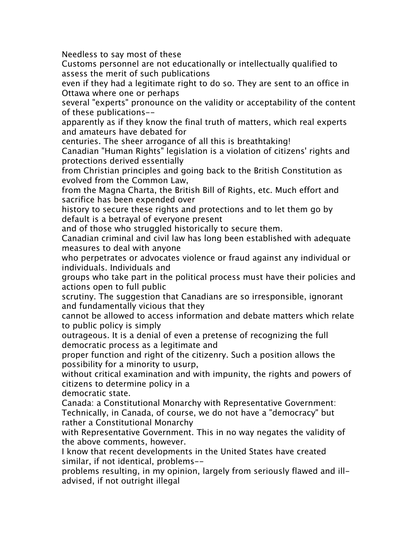Needless to say most of these

Customs personnel are not educationally or intellectually qualified to assess the merit of such publications

even if they had a legitimate right to do so. They are sent to an office in Ottawa where one or perhaps

several "experts" pronounce on the validity or acceptability of the content of these publications--

apparently as if they know the final truth of matters, which real experts and amateurs have debated for

centuries. The sheer arrogance of all this is breathtaking!

Canadian "Human Rights" legislation is a violation of citizens' rights and protections derived essentially

from Christian principles and going back to the British Constitution as evolved from the Common Law,

from the Magna Charta, the British Bill of Rights, etc. Much effort and sacrifice has been expended over

history to secure these rights and protections and to let them go by default is a betrayal of everyone present

and of those who struggled historically to secure them.

Canadian criminal and civil law has long been established with adequate measures to deal with anyone

who perpetrates or advocates violence or fraud against any individual or individuals. Individuals and

groups who take part in the political process must have their policies and actions open to full public

scrutiny. The suggestion that Canadians are so irresponsible, ignorant and fundamentally vicious that they

cannot be allowed to access information and debate matters which relate to public policy is simply

outrageous. It is a denial of even a pretense of recognizing the full democratic process as a legitimate and

proper function and right of the citizenry. Such a position allows the possibility for a minority to usurp,

without critical examination and with impunity, the rights and powers of citizens to determine policy in a

democratic state.

Canada: a Constitutional Monarchy with Representative Government: Technically, in Canada, of course, we do not have a "democracy" but rather a Constitutional Monarchy

with Representative Government. This in no way negates the validity of the above comments, however.

I know that recent developments in the United States have created similar, if not identical, problems--

problems resulting, in my opinion, largely from seriously flawed and illadvised, if not outright illegal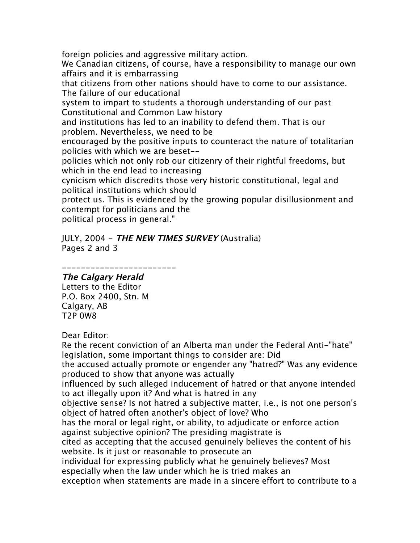foreign policies and aggressive military action. We Canadian citizens, of course, have a responsibility to manage our own affairs and it is embarrassing that citizens from other nations should have to come to our assistance. The failure of our educational system to impart to students a thorough understanding of our past Constitutional and Common Law history and institutions has led to an inability to defend them. That is our problem. Nevertheless, we need to be encouraged by the positive inputs to counteract the nature of totalitarian policies with which we are beset- policies which not only rob our citizenry of their rightful freedoms, but which in the end lead to increasing cynicism which discredits those very historic constitutional, legal and political institutions which should protect us. This is evidenced by the growing popular disillusionment and contempt for politicians and the political process in general."

JULY, 2004 - **THE NEW TIMES SURVEY** (Australia) Pages 2 and 3

## ------------------------ **The Calgary Herald**

Letters to the Editor P.O. Box 2400, Stn. M Calgary, AB T2P 0W8

## Dear Editor:

Re the recent conviction of an Alberta man under the Federal Anti-"hate" legislation, some important things to consider are: Did the accused actually promote or engender any "hatred?" Was any evidence produced to show that anyone was actually influenced by such alleged inducement of hatred or that anyone intended to act illegally upon it? And what is hatred in any objective sense? Is not hatred a subjective matter, i.e., is not one person's object of hatred often another's object of love? Who has the moral or legal right, or ability, to adjudicate or enforce action against subjective opinion? The presiding magistrate is cited as accepting that the accused genuinely believes the content of his website. Is it just or reasonable to prosecute an individual for expressing publicly what he genuinely believes? Most especially when the law under which he is tried makes an exception when statements are made in a sincere effort to contribute to a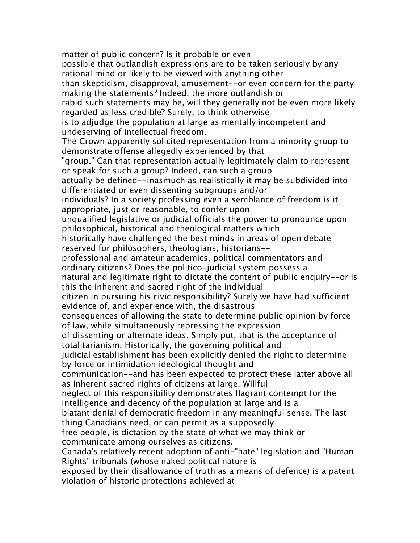matter of public concern? Is it probable or even possible that outlandish expressions are to be taken seriously by any rational mind or likely to be viewed with anything other than skepticism, disapproval, amusement--or even concern for the party making the statements? Indeed, the more outlandish or rabid such statements may be, will they generally not be even more likely regarded as less credible? Surely, to think otherwise is to adjudge the population at large as mentally incompetent and undeserving of intellectual freedom. The Crown apparently solicited representation from a minority group to demonstrate offense allegedly experienced by that "group." Can that representation actually legitimately claim to represent or speak for such a group? Indeed, can such a group actually be defined--inasmuch as realistically it may be subdivided into differentiated or even dissenting subgroups and/or individuals? In a society professing even a semblance of freedom is it appropriate, just or reasonable, to confer upon unqualified legislative or judicial officials the power to pronounce upon philosophical, historical and theological matters which historically have challenged the best minds in areas of open debate reserved for philosophers, theologians, historians- professional and amateur academics, political commentators and ordinary citizens? Does the politico-judicial system possess a natural and legitimate right to dictate the content of public enquiry--or is this the inherent and sacred right of the individual citizen in pursuing his civic responsibility? Surely we have had sufficient evidence of, and experience with, the disastrous consequences of allowing the state to determine public opinion by force of law, while simultaneously repressing the expression of dissenting or alternate ideas. Simply put, that is the acceptance of totalitarianism. Historically, the governing political and judicial establishment has been explicitly denied the right to determine by force or intimidation ideological thought and communication--and has been expected to protect these latter above all as inherent sacred rights of citizens at large. Willful neglect of this responsibility demonstrates flagrant contempt for the intelligence and decency of the population at large and is a blatant denial of democratic freedom in any meaningful sense. The last thing Canadians need, or can permit as a supposedly free people, is dictation by the state of what we may think or communicate among ourselves as citizens. Canada's relatively recent adoption of anti-"hate" legislation and "Human Rights" tribunals (whose naked political nature is exposed by their disallowance of truth as a means of defence) is a patent violation of historic protections achieved at